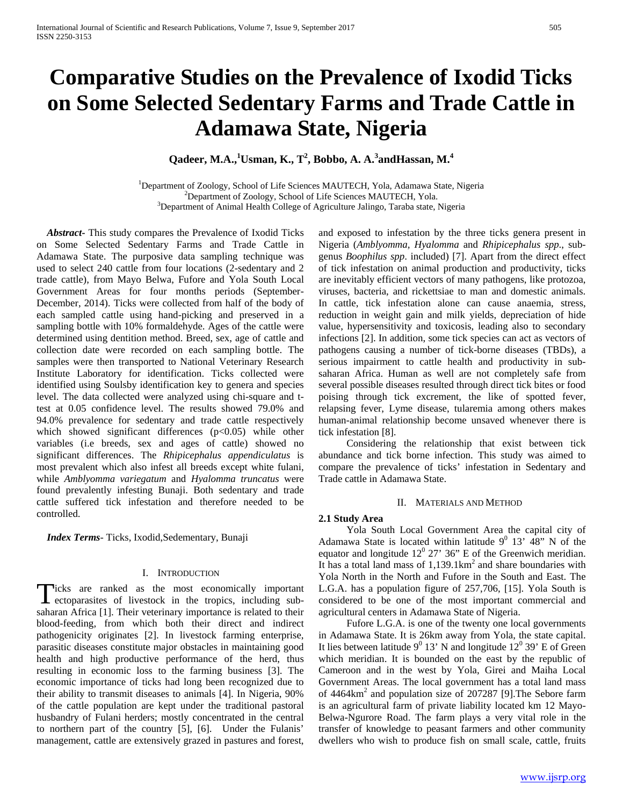# **Comparative Studies on the Prevalence of Ixodid Ticks on Some Selected Sedentary Farms and Trade Cattle in Adamawa State, Nigeria**

**Qadeer, M.A.,<sup>1</sup> Usman, K., T<sup>2</sup> , Bobbo, A. A.<sup>3</sup> andHassan, M.<sup>4</sup>**

<sup>1</sup>Department of Zoology, School of Life Sciences MAUTECH, Yola, Adamawa State, Nigeria <sup>2</sup>Department of Zoology, School of Life Sciences MAUTECH, Yola.  $3$ Department of Animal Health College of Agriculture Jalingo, Taraba state, Nigeria

 *Abstract***-** This study compares the Prevalence of Ixodid Ticks on Some Selected Sedentary Farms and Trade Cattle in Adamawa State. The purposive data sampling technique was used to select 240 cattle from four locations (2-sedentary and 2 trade cattle), from Mayo Belwa, Fufore and Yola South Local Government Areas for four months periods (September-December, 2014). Ticks were collected from half of the body of each sampled cattle using hand-picking and preserved in a sampling bottle with 10% formaldehyde. Ages of the cattle were determined using dentition method. Breed, sex, age of cattle and collection date were recorded on each sampling bottle. The samples were then transported to National Veterinary Research Institute Laboratory for identification. Ticks collected were identified using Soulsby identification key to genera and species level. The data collected were analyzed using chi-square and ttest at 0.05 confidence level. The results showed 79.0% and 94.0% prevalence for sedentary and trade cattle respectively which showed significant differences  $(p<0.05)$  while other variables (i.e breeds, sex and ages of cattle) showed no significant differences. The *Rhipicephalus appendiculatus* is most prevalent which also infest all breeds except white fulani, while *Amblyomma variegatum* and *Hyalomma truncatus* were found prevalently infesting Bunaji. Both sedentary and trade cattle suffered tick infestation and therefore needed to be controlled.

 *Index Terms*- Ticks, Ixodid,Sedementary, Bunaji

#### I. INTRODUCTION

licks are ranked as the most economically important Ticks are ranked as the most economically important<br>ectoparasites of livestock in the tropics, including subsaharan Africa [1]. Their veterinary importance is related to their blood-feeding, from which both their direct and indirect pathogenicity originates [2]. In livestock farming enterprise, parasitic diseases constitute major obstacles in maintaining good health and high productive performance of the herd, thus resulting in economic loss to the farming business [3]. The economic importance of ticks had long been recognized due to their ability to transmit diseases to animals [4]. In Nigeria, 90% of the cattle population are kept under the traditional pastoral husbandry of Fulani herders; mostly concentrated in the central to northern part of the country [5], [6]. Under the Fulanis' management, cattle are extensively grazed in pastures and forest,

and exposed to infestation by the three ticks genera present in Nigeria (*Amblyomma, Hyalomma* and *Rhipicephalus spp*., subgenus *Boophilus spp*. included) [7]. Apart from the direct effect of tick infestation on animal production and productivity, ticks are inevitably efficient vectors of many pathogens, like protozoa, viruses, bacteria, and rickettsiae to man and domestic animals. In cattle, tick infestation alone can cause anaemia, stress, reduction in weight gain and milk yields, depreciation of hide value, hypersensitivity and toxicosis, leading also to secondary infections [2]. In addition, some tick species can act as vectors of pathogens causing a number of tick-borne diseases (TBDs), a serious impairment to cattle health and productivity in subsaharan Africa. Human as well are not completely safe from several possible diseases resulted through direct tick bites or food poising through tick excrement, the like of spotted fever, relapsing fever, Lyme disease, tularemia among others makes human-animal relationship become unsaved whenever there is tick infestation [8].

 Considering the relationship that exist between tick abundance and tick borne infection. This study was aimed to compare the prevalence of ticks' infestation in Sedentary and Trade cattle in Adamawa State.

## II. MATERIALS AND METHOD

# **2.1 Study Area**

 Yola South Local Government Area the capital city of Adamawa State is located within latitude  $9^0$  13'  $48$ " N of the equator and longitude  $12^0$  27' 36" E of the Greenwich meridian. It has a total land mass of 1,139.1km<sup>2</sup> and share boundaries with Yola North in the North and Fufore in the South and East. The L.G.A. has a population figure of 257,706, [15]. Yola South is considered to be one of the most important commercial and agricultural centers in Adamawa State of Nigeria.

 Fufore L.G.A. is one of the twenty one local governments in Adamawa State. It is 26km away from Yola, the state capital. It lies between latitude  $9^0$  13' N and longitude  $12^0$  39' E of Green which meridian. It is bounded on the east by the republic of Cameroon and in the west by Yola, Girei and Maiha Local Government Areas. The local government has a total land mass of  $4464 \text{km}^2$  and population size of 207287 [9]. The Sebore farm is an agricultural farm of private liability located km 12 Mayo-Belwa-Ngurore Road. The farm plays a very vital role in the transfer of knowledge to peasant farmers and other community dwellers who wish to produce fish on small scale, cattle, fruits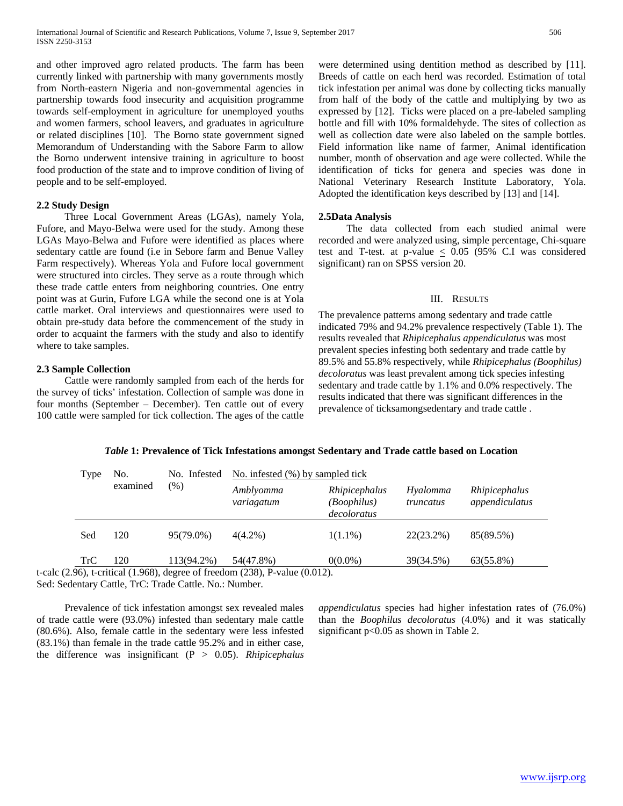and other improved agro related products. The farm has been currently linked with partnership with many governments mostly from North-eastern Nigeria and non-governmental agencies in partnership towards food insecurity and acquisition programme towards self-employment in agriculture for unemployed youths and women farmers, school leavers, and graduates in agriculture or related disciplines [10]. The Borno state government signed Memorandum of Understanding with the Sabore Farm to allow the Borno underwent intensive training in agriculture to boost food production of the state and to improve condition of living of people and to be self-employed.

# **2.2 Study Design**

 Three Local Government Areas (LGAs), namely Yola, Fufore, and Mayo-Belwa were used for the study. Among these LGAs Mayo-Belwa and Fufore were identified as places where sedentary cattle are found (i.e in Sebore farm and Benue Valley Farm respectively). Whereas Yola and Fufore local government were structured into circles. They serve as a route through which these trade cattle enters from neighboring countries. One entry point was at Gurin, Fufore LGA while the second one is at Yola cattle market. Oral interviews and questionnaires were used to obtain pre-study data before the commencement of the study in order to acquaint the farmers with the study and also to identify where to take samples.

# **2.3 Sample Collection**

 Cattle were randomly sampled from each of the herds for the survey of ticks' infestation. Collection of sample was done in four months (September – December). Ten cattle out of every 100 cattle were sampled for tick collection. The ages of the cattle were determined using dentition method as described by [11]. Breeds of cattle on each herd was recorded. Estimation of total tick infestation per animal was done by collecting ticks manually from half of the body of the cattle and multiplying by two as expressed by [12]. Ticks were placed on a pre-labeled sampling bottle and fill with 10% formaldehyde. The sites of collection as well as collection date were also labeled on the sample bottles. Field information like name of farmer, Animal identification number, month of observation and age were collected. While the identification of ticks for genera and species was done in National Veterinary Research Institute Laboratory, Yola. Adopted the identification keys described by [13] and [14].

# **2.5Data Analysis**

 The data collected from each studied animal were recorded and were analyzed using, simple percentage, Chi-square test and T-test. at p-value  $\leq$  0.05 (95% C.I was considered significant) ran on SPSS version 20.

## III. RESULTS

The prevalence patterns among sedentary and trade cattle indicated 79% and 94.2% prevalence respectively (Table 1). The results revealed that *Rhipicephalus appendiculatus* was most prevalent species infesting both sedentary and trade cattle by 89.5% and 55.8% respectively, while *Rhipicephalus (Boophilus) decoloratus* was least prevalent among tick species infesting sedentary and trade cattle by 1.1% and 0.0% respectively. The results indicated that there was significant differences in the prevalence of ticksamongsedentary and trade cattle .

| Type       | No.<br>examined | No. Infested<br>$(\% )$ | No. infested $(\%)$ by sampled tick |                                             |                       |                                 |  |  |
|------------|-----------------|-------------------------|-------------------------------------|---------------------------------------------|-----------------------|---------------------------------|--|--|
|            |                 |                         | Amblyomma<br>variagatum             | Rhipicephalus<br>(Boophilus)<br>decoloratus | Hyalomma<br>truncatus | Rhipicephalus<br>appendiculatus |  |  |
| Sed        | 120             | 95(79.0%)               | $4(4.2\%)$                          | $1(1.1\%)$                                  | 22(23.2%)             | 85(89.5%)                       |  |  |
| <b>TrC</b> | 120             | 113(94.2%)              | 54(47.8%)                           | $0(0.0\%)$                                  | 39(34.5%)             | 63(55.8%)                       |  |  |

## *Table* **1: Prevalence of Tick Infestations amongst Sedentary and Trade cattle based on Location**

t-calc (2.96), t-critical (1.968), degree of freedom (238), P-value (0.012). Sed: Sedentary Cattle, TrC: Trade Cattle. No.: Number.

 Prevalence of tick infestation amongst sex revealed males of trade cattle were (93.0%) infested than sedentary male cattle (80.6%). Also, female cattle in the sedentary were less infested (83.1%) than female in the trade cattle 95.2% and in either case, the difference was insignificant (P > 0.05). *Rhipicephalus*  *appendiculatus* species had higher infestation rates of (76.0%) than the *Boophilus decoloratus* (4.0%) and it was statically significant p<0.05 as shown in Table 2.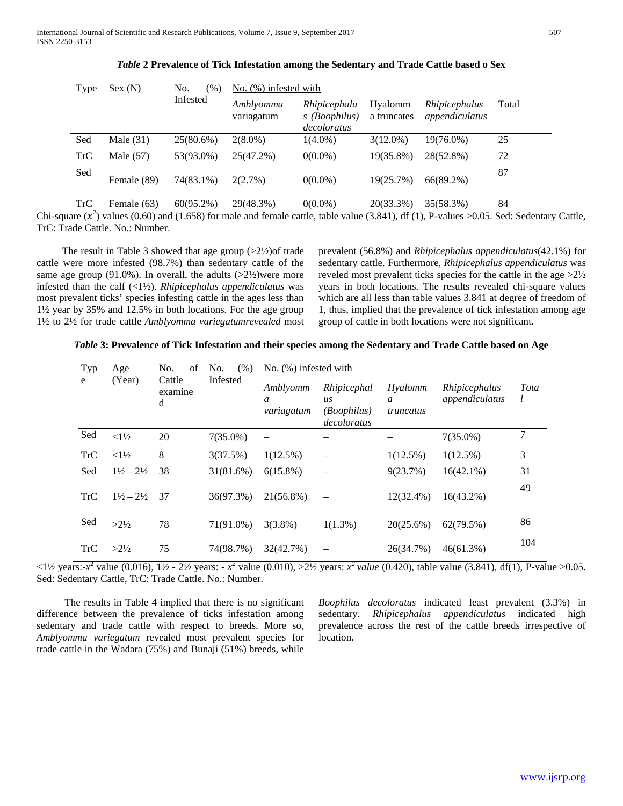| Type       | Sex(N)      | No.<br>(%)   | No. $(\%)$ infested with |                                              |                        |                                                                                                                                                                          |       |  |
|------------|-------------|--------------|--------------------------|----------------------------------------------|------------------------|--------------------------------------------------------------------------------------------------------------------------------------------------------------------------|-------|--|
|            |             | Infested     | Amblyomma<br>variagatum  | Rhipicephalu<br>s (Boophilus)<br>decoloratus | Hyalomm<br>a truncates | Rhipicephalus<br>appendiculatus                                                                                                                                          | Total |  |
| Sed        | Male $(31)$ | 25(80.6%)    | $2(8.0\%)$               | $1(4.0\%)$                                   | $3(12.0\%)$            | 19(76.0%)                                                                                                                                                                | 25    |  |
| <b>TrC</b> | Male $(57)$ | 53(93.0%)    | 25(47.2%)                | $0(0.0\%)$                                   | 19(35.8%)              | 28(52.8%)                                                                                                                                                                | 72    |  |
| Sed        | Female (89) | 74(83.1%)    | 2(2.7%)                  | $0(0.0\%)$                                   | 19(25.7%)              | $66(89.2\%)$                                                                                                                                                             | 87    |  |
| TrC        | Female (63) | $60(95.2\%)$ | 29(48.3%)                | $0(0.0\%)$                                   | 20(33.3%)              | 35(58.3%)<br>$(1, 4)$ $(1, 2)$ $(0, 6)$ $(1, 1, 1)$ $(1, 6)$ $(2, 3)$ $(3, 3)$ $(4, 1)$ $(5, 1)$ $(5, 1)$ $(6, 1)$ $(7, 0)$ $(8, 1)$ $(1, 1)$ $(1, 1)$ $(1, 1)$ $(1, 1)$ | 84    |  |

*Table* **2 Prevalence of Tick Infestation among the Sedentary and Trade Cattle based o Sex**

 $\langle 0 \rangle$  in  $\langle 0 \rangle$  infected with  $\langle 0 \rangle$ 

Chi-square  $(x^2)$  values (0.60) and (1.658) for male and female cattle, table value (3.841), df (1), P-values >0.05. Sed: Sedentary Cattle, TrC: Trade Cattle. No.: Number.

The result in Table 3 showed that age group  $(>2\frac{1}{2})$  of trade cattle were more infested (98.7%) than sedentary cattle of the same age group (91.0%). In overall, the adults  $(>2\frac{1}{2})$  were more infested than the calf (<1½). *Rhipicephalus appendiculatus* was most prevalent ticks' species infesting cattle in the ages less than 1½ year by 35% and 12.5% in both locations. For the age group 1½ to 2½ for trade cattle *Amblyomma variegatumrevealed* most prevalent (56.8%) and *Rhipicephalus appendiculatus*(42.1%) for sedentary cattle. Furthermore, *Rhipicephalus appendiculatus* was reveled most prevalent ticks species for the cattle in the age >2½ years in both locations. The results revealed chi-square values which are all less than table values 3.841 at degree of freedom of 1, thus, implied that the prevalence of tick infestation among age group of cattle in both locations were not significant.

## *Table* **3: Prevalence of Tick Infestation and their species among the Sedentary and Trade Cattle based on Age**

| Typ        | Age                           | No.<br>of              | No.<br>(% ) | $No.$ (%) infested with                    |                                                        |                                          |                                 |           |  |
|------------|-------------------------------|------------------------|-------------|--------------------------------------------|--------------------------------------------------------|------------------------------------------|---------------------------------|-----------|--|
| e          | (Year)                        | Cattle<br>examine<br>d | Infested    | Amblyomm<br>$\boldsymbol{a}$<br>variagatum | Rhipicephal<br>us<br><i>(Boophilus)</i><br>decoloratus | Hyalomm<br>$\boldsymbol{a}$<br>truncatus | Rhipicephalus<br>appendiculatus | Tota<br>l |  |
| Sed        | $<1\frac{1}{2}$               | 20                     | $7(35.0\%)$ | $\overline{\phantom{0}}$                   |                                                        |                                          | $7(35.0\%)$                     | 7         |  |
| <b>TrC</b> | ${<}1\frac{1}{2}$             | 8                      | 3(37.5%)    | $1(12.5\%)$                                |                                                        | $1(12.5\%)$                              | $1(12.5\%)$                     | 3         |  |
| Sed        | $1\frac{1}{2} - 2\frac{1}{2}$ | 38                     | 31(81.6%)   | $6(15.8\%)$                                | $\overline{\phantom{0}}$                               | 9(23.7%)                                 | $16(42.1\%)$                    | 31        |  |
| <b>TrC</b> | $1\frac{1}{2} - 2\frac{1}{2}$ | 37                     | 36(97.3%)   | $21(56.8\%)$                               | $\overline{\phantom{0}}$                               | 12(32.4%)                                | $16(43.2\%)$                    | 49        |  |
| Sed        | $>2\frac{1}{2}$               | 78                     | 71(91.0%)   | $3(3.8\%)$                                 | $1(1.3\%)$                                             | 20(25.6%)                                | 62(79.5%)                       | 86        |  |
| <b>TrC</b> | $>2\frac{1}{2}$               | 75                     | 74(98.7%)   | 32(42.7%)                                  | $\overline{\phantom{0}}$                               | 26(34.7%)                                | $46(61.3\%)$                    | 104       |  |

 $\langle 1 \rangle$  years:- $x^2$  value (0.016),  $1 \rangle$  -  $2 \rangle$  years: -  $x^2$  value (0.010),  $>$ 2 $\frac{1}{2}$  years:  $x^2$  *value* (0.420), table value (3.841), df(1), P-value  $>$ 0.05. Sed: Sedentary Cattle, TrC: Trade Cattle. No.: Number.

 The results in Table 4 implied that there is no significant difference between the prevalence of ticks infestation among sedentary and trade cattle with respect to breeds. More so, *Amblyomma variegatum* revealed most prevalent species for trade cattle in the Wadara (75%) and Bunaji (51%) breeds, while *Boophilus decoloratus* indicated least prevalent (3.3%) in sedentary. *Rhipicephalus appendiculatus* indicated high prevalence across the rest of the cattle breeds irrespective of location.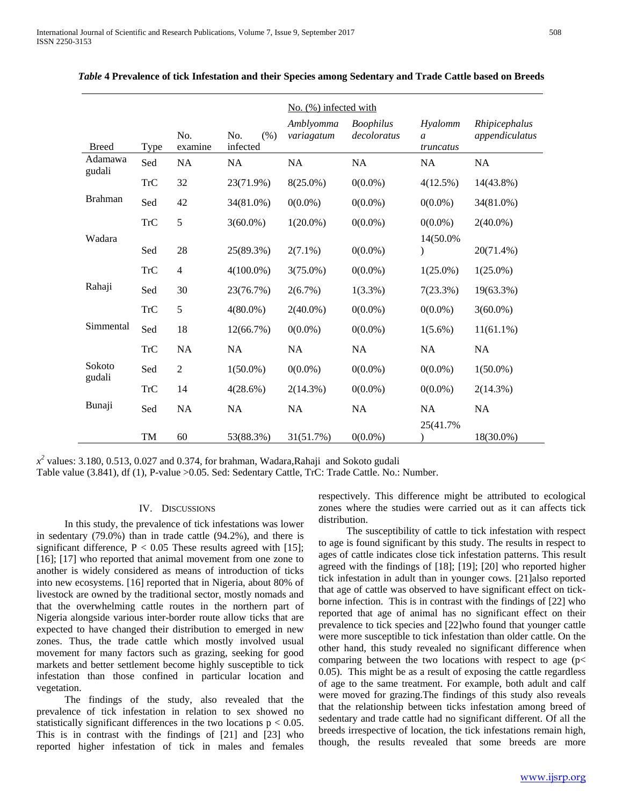|                   |            |                |                         | $No.$ (%) infected with |                                 |                                        |                                 |
|-------------------|------------|----------------|-------------------------|-------------------------|---------------------------------|----------------------------------------|---------------------------------|
| <b>Breed</b>      | Type       | No.<br>examine | No.<br>(% )<br>infected | Amblyomma<br>variagatum | <b>Boophilus</b><br>decoloratus | Hyalomm<br>$\mathfrak{a}$<br>truncatus | Rhipicephalus<br>appendiculatus |
| Adamawa<br>gudali | Sed        | NA             | <b>NA</b>               | <b>NA</b>               | <b>NA</b>                       | <b>NA</b>                              | <b>NA</b>                       |
|                   | <b>TrC</b> | 32             | 23(71.9%)               | $8(25.0\%)$             | $0(0.0\%)$                      | 4(12.5%)                               | 14(43.8%)                       |
| <b>Brahman</b>    | Sed        | 42             | 34(81.0%)               | $0(0.0\%)$              | $0(0.0\%)$                      | $0(0.0\%)$                             | 34(81.0%)                       |
|                   | <b>TrC</b> | 5              | $3(60.0\%)$             | $1(20.0\%)$             | $0(0.0\%)$                      | $0(0.0\%)$                             | $2(40.0\%)$                     |
| Wadara            | Sed        | $28\,$         | 25(89.3%)               | $2(7.1\%)$              | $0(0.0\%)$                      | 14(50.0%)                              | 20(71.4%)                       |
|                   | <b>TrC</b> | $\overline{4}$ | $4(100.0\%)$            | $3(75.0\%)$             | $0(0.0\%)$                      | $1(25.0\%)$                            | $1(25.0\%)$                     |
| Rahaji            | Sed        | 30             | 23(76.7%)               | 2(6.7%)                 | $1(3.3\%)$                      | 7(23.3%)                               | 19(63.3%)                       |
|                   | <b>TrC</b> | 5              | $4(80.0\%)$             | $2(40.0\%)$             | $0(0.0\%)$                      | $0(0.0\%)$                             | $3(60.0\%)$                     |
| Simmental         | Sed        | 18             | 12(66.7%)               | $0(0.0\%)$              | $0(0.0\%)$                      | $1(5.6\%)$                             | $11(61.1\%)$                    |
|                   | TrC        | NA             | <b>NA</b>               | <b>NA</b>               | <b>NA</b>                       | <b>NA</b>                              | <b>NA</b>                       |
| Sokoto            | Sed        | $\overline{2}$ | $1(50.0\%)$             | $0(0.0\%)$              | $0(0.0\%)$                      | $0(0.0\%)$                             | $1(50.0\%)$                     |
| gudali            | <b>TrC</b> | 14             | 4(28.6%)                | 2(14.3%)                | $0(0.0\%)$                      | $0(0.0\%)$                             | $2(14.3\%)$                     |
| Bunaji            | Sed        | <b>NA</b>      | NA                      | NA                      | <b>NA</b>                       | NA<br>25(41.7%)                        | <b>NA</b>                       |
|                   | TM         | 60             | 53(88.3%)               | 31(51.7%)               | $0(0.0\%)$                      |                                        | 18(30.0%)                       |

| Table 4 Prevalence of tick Infestation and their Species among Sedentary and Trade Cattle based on Breeds |  |  |  |
|-----------------------------------------------------------------------------------------------------------|--|--|--|
|-----------------------------------------------------------------------------------------------------------|--|--|--|

 $x^2$  values: 3.180, 0.513, 0.027 and 0.374, for brahman, Wadara,Rahaji and Sokoto gudali

Table value (3.841), df (1), P-value >0.05. Sed: Sedentary Cattle, TrC: Trade Cattle. No.: Number.

## IV. DISCUSSIONS

 In this study, the prevalence of tick infestations was lower in sedentary (79.0%) than in trade cattle (94.2%), and there is significant difference,  $P < 0.05$  These results agreed with [15]; [16]; [17] who reported that animal movement from one zone to another is widely considered as means of introduction of ticks into new ecosystems. [16] reported that in Nigeria, about 80% of livestock are owned by the traditional sector, mostly nomads and that the overwhelming cattle routes in the northern part of Nigeria alongside various inter-border route allow ticks that are expected to have changed their distribution to emerged in new zones. Thus, the trade cattle which mostly involved usual movement for many factors such as grazing, seeking for good markets and better settlement become highly susceptible to tick infestation than those confined in particular location and vegetation.

 The findings of the study, also revealed that the prevalence of tick infestation in relation to sex showed no statistically significant differences in the two locations  $p < 0.05$ . This is in contrast with the findings of [21] and [23] who reported higher infestation of tick in males and females

respectively. This difference might be attributed to ecological zones where the studies were carried out as it can affects tick distribution.

 The susceptibility of cattle to tick infestation with respect to age is found significant by this study. The results in respect to ages of cattle indicates close tick infestation patterns. This result agreed with the findings of [18]; [19]; [20] who reported higher tick infestation in adult than in younger cows. [21]also reported that age of cattle was observed to have significant effect on tickborne infection. This is in contrast with the findings of [22] who reported that age of animal has no significant effect on their prevalence to tick species and [22]who found that younger cattle were more susceptible to tick infestation than older cattle. On the other hand, this study revealed no significant difference when comparing between the two locations with respect to age (p< 0.05). This might be as a result of exposing the cattle regardless of age to the same treatment. For example, both adult and calf were moved for grazing.The findings of this study also reveals that the relationship between ticks infestation among breed of sedentary and trade cattle had no significant different. Of all the breeds irrespective of location, the tick infestations remain high, though, the results revealed that some breeds are more